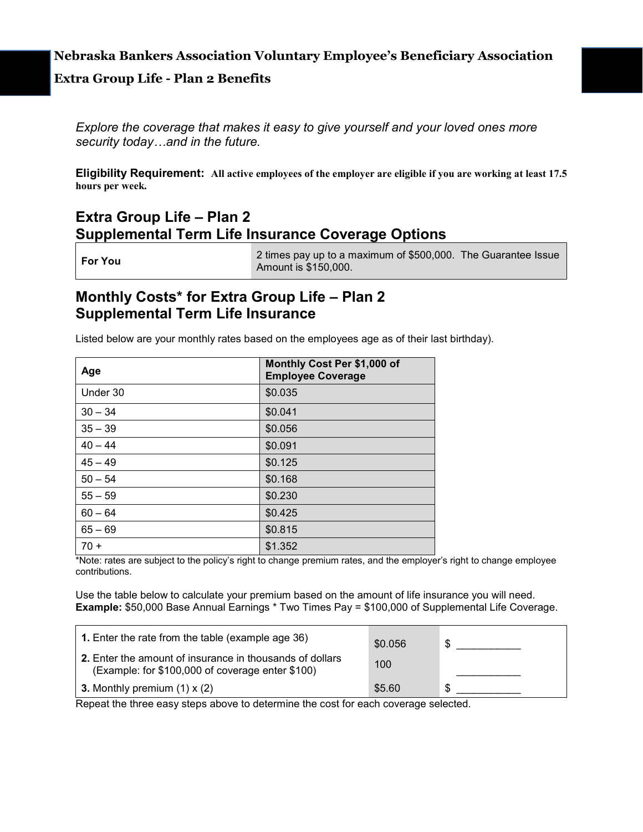### **Nebraska Bankers Association Voluntary Employee's Beneficiary Association**

### **Extra Group Life - Plan 2 Benefits**

*Explore the coverage that makes it easy to give yourself and your loved ones more security today…and in the future.*

**Eligibility Requirement: All active employees of the employer are eligible if you are working at least 17.5 hours per week.** 

## **Extra Group Life – Plan 2 Supplemental Term Life Insurance Coverage Options**

**For You** 2 times pay up to a maximum of \$500,000. The Guarantee Issue Amount is \$150,000.

### **Monthly Costs\* for Extra Group Life – Plan 2 Supplemental Term Life Insurance**

Listed below are your monthly rates based on the employees age as of their last birthday).

| Age       | Monthly Cost Per \$1,000 of<br><b>Employee Coverage</b> |  |
|-----------|---------------------------------------------------------|--|
| Under 30  | \$0.035                                                 |  |
| $30 - 34$ | \$0.041                                                 |  |
| $35 - 39$ | \$0.056                                                 |  |
| $40 - 44$ | \$0.091                                                 |  |
| $45 - 49$ | \$0.125                                                 |  |
| $50 - 54$ | \$0.168                                                 |  |
| $55 - 59$ | \$0.230                                                 |  |
| $60 - 64$ | \$0.425                                                 |  |
| $65 - 69$ | \$0.815                                                 |  |
| $70 +$    | \$1.352                                                 |  |

\*Note: rates are subject to the policy's right to change premium rates, and the employer's right to change employee contributions.

Use the table below to calculate your premium based on the amount of life insurance you will need. **Example:** \$50,000 Base Annual Earnings \* Two Times Pay = \$100,000 of Supplemental Life Coverage.

| <b>1.</b> Enter the rate from the table (example age 36)                                                            | \$0.056 | \$ |
|---------------------------------------------------------------------------------------------------------------------|---------|----|
| <b>2.</b> Enter the amount of insurance in thousands of dollars<br>(Example: for \$100,000 of coverage enter \$100) | 100     |    |
| 3. Monthly premium $(1) \times (2)$                                                                                 | \$5.60  | \$ |

Repeat the three easy steps above to determine the cost for each coverage selected.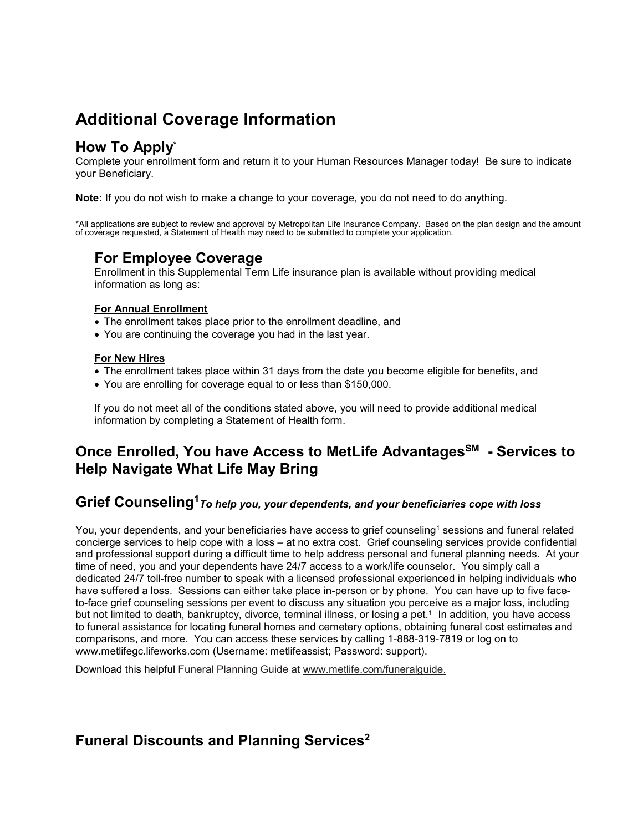# **Additional Coverage Information**

## **How To Apply\***

Complete your enrollment form and return it to your Human Resources Manager today! Be sure to indicate your Beneficiary.

**Note:** If you do not wish to make a change to your coverage, you do not need to do anything.

\*All applications are subject to review and approval by Metropolitan Life Insurance Company. Based on the plan design and the amount of coverage requested, a Statement of Health may need to be submitted to complete your application.

### **For Employee Coverage**

Enrollment in this Supplemental Term Life insurance plan is available without providing medical information as long as:

### **For Annual Enrollment**

- The enrollment takes place prior to the enrollment deadline, and
- You are continuing the coverage you had in the last year.

#### **For New Hires**

- The enrollment takes place within 31 days from the date you become eligible for benefits, and
- You are enrolling for coverage equal to or less than \$150,000.

If you do not meet all of the conditions stated above, you will need to provide additional medical information by completing a Statement of Health form.

## **Once Enrolled, You have Access to MetLife Advantages<sup>SM</sup> - Services to Help Navigate What Life May Bring**

### $\mathbf{G}$ rief  $\mathbf{C}$ oun $\mathbf{s}$ elin $\mathbf{g}^1$ *T*o help you, your dependents, and your beneficiaries cope with loss

You, your dependents, and your beneficiaries have access to grief counseling<sup>1</sup> sessions and funeral related concierge services to help cope with a loss – at no extra cost. Grief counseling services provide confidential and professional support during a difficult time to help address personal and funeral planning needs. At your time of need, you and your dependents have 24/7 access to a work/life counselor. You simply call a dedicated 24/7 toll-free number to speak with a licensed professional experienced in helping individuals who have suffered a loss. Sessions can either take place in-person or by phone. You can have up to five faceto-face grief counseling sessions per event to discuss any situation you perceive as a major loss, including but not limited to death, bankruptcy, divorce, terminal illness, or losing a pet.1 In addition, you have access to funeral assistance for locating funeral homes and cemetery options, obtaining funeral cost estimates and comparisons, and more. You can access these services by calling 1-888-319-7819 or log on to www.metlifegc.lifeworks.com (Username: metlifeassist; Password: support).

Download this helpful Funeral Planning Guide at [www.metlife.com/funeralguide.](http://www.metlife.com/funeralguide)

## **Funeral Discounts and Planning Services2**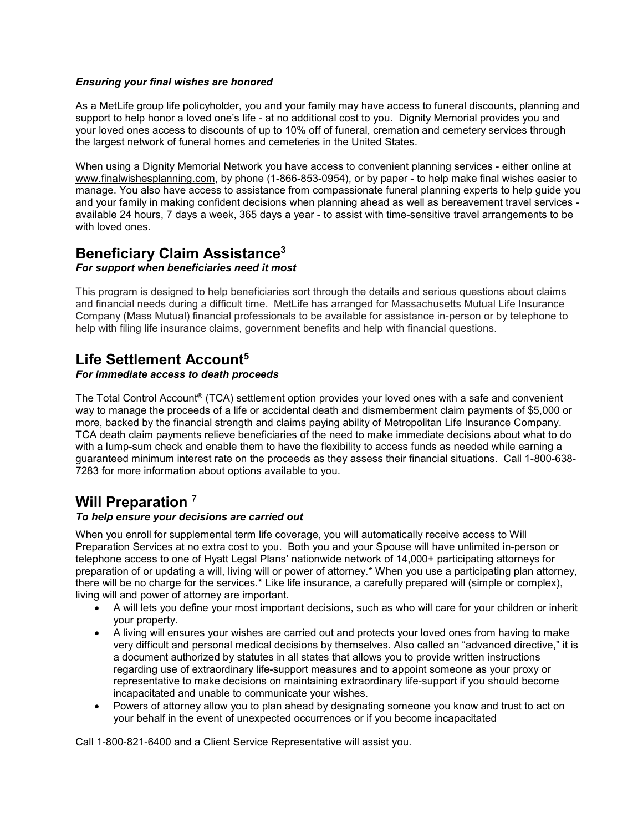### *Ensuring your final wishes are honored*

As a MetLife group life policyholder, you and your family may have access to funeral discounts, planning and support to help honor a loved one's life - at no additional cost to you. Dignity Memorial provides you and your loved ones access to discounts of up to 10% off of funeral, cremation and cemetery services through the largest network of funeral homes and cemeteries in the United States.

When using a Dignity Memorial Network you have access to convenient planning services - either online at www.finalwishesplanning.com, by phone (1-866-853-0954), or by paper - to help make final wishes easier to manage. You also have access to assistance from compassionate funeral planning experts to help guide you and your family in making confident decisions when planning ahead as well as bereavement travel services available 24 hours, 7 days a week, 365 days a year - to assist with time-sensitive travel arrangements to be with loved ones.

## **Beneficiary Claim Assistance3**

### *For support when beneficiaries need it most*

This program is designed to help beneficiaries sort through the details and serious questions about claims and financial needs during a difficult time. MetLife has arranged for Massachusetts Mutual Life Insurance Company (Mass Mutual) financial professionals to be available for assistance in-person or by telephone to help with filing life insurance claims, government benefits and help with financial questions.

## **Life Settlement Account5**

#### *For immediate access to death proceeds*

The Total Control Account® (TCA) settlement option provides your loved ones with a safe and convenient way to manage the proceeds of a life or accidental death and dismemberment claim payments of \$5,000 or more, backed by the financial strength and claims paying ability of Metropolitan Life Insurance Company. TCA death claim payments relieve beneficiaries of the need to make immediate decisions about what to do with a lump-sum check and enable them to have the flexibility to access funds as needed while earning a guaranteed minimum interest rate on the proceeds as they assess their financial situations. Call 1-800-638- 7283 for more information about options available to you.

### **Will Preparation** <sup>7</sup>

### *To help ensure your decisions are carried out*

When you enroll for supplemental term life coverage, you will automatically receive access to Will Preparation Services at no extra cost to you. Both you and your Spouse will have unlimited in-person or telephone access to one of Hyatt Legal Plans' nationwide network of 14,000+ participating attorneys for preparation of or updating a will, living will or power of attorney.\* When you use a participating plan attorney, there will be no charge for the services.\* Like life insurance, a carefully prepared will (simple or complex), living will and power of attorney are important.

- A will lets you define your most important decisions, such as who will care for your children or inherit your property.
- A living will ensures your wishes are carried out and protects your loved ones from having to make very difficult and personal medical decisions by themselves. Also called an "advanced directive," it is a document authorized by statutes in all states that allows you to provide written instructions regarding use of extraordinary life-support measures and to appoint someone as your proxy or representative to make decisions on maintaining extraordinary life-support if you should become incapacitated and unable to communicate your wishes.
- Powers of attorney allow you to plan ahead by designating someone you know and trust to act on your behalf in the event of unexpected occurrences or if you become incapacitated

Call 1-800-821-6400 and a Client Service Representative will assist you.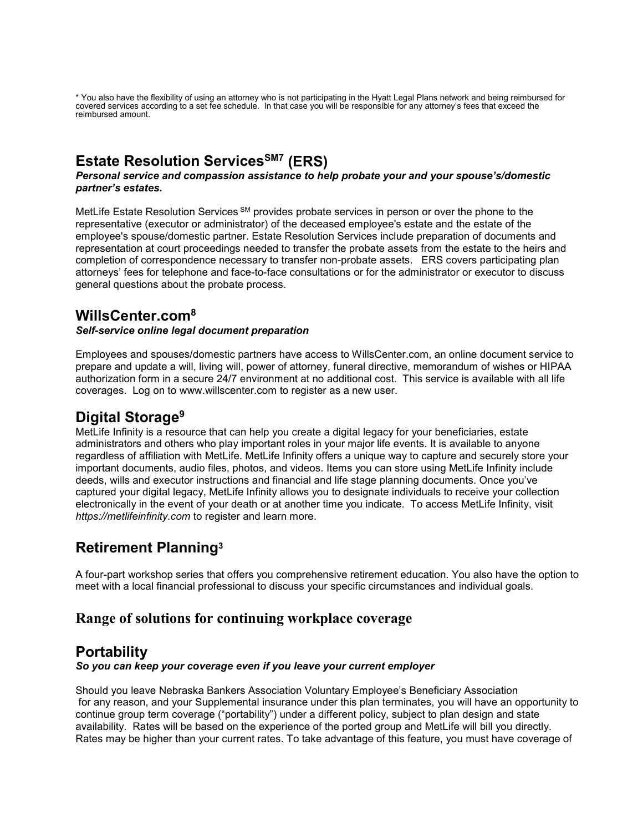\* You also have the flexibility of using an attorney who is not participating in the Hyatt Legal Plans network and being reimbursed for covered services according to a set fee schedule. In that case you will be responsible for any attorney's fees that exceed the reimbursed amount.

# **Estate Resolution Services<sup>SM7</sup> (ERS)**

#### *Personal service and compassion assistance to help probate your and your spouse's/domestic partner's estates.*

MetLife Estate Resolution Services SM provides probate services in person or over the phone to the representative (executor or administrator) of the deceased employee's estate and the estate of the employee's spouse/domestic partner. Estate Resolution Services include preparation of documents and representation at court proceedings needed to transfer the probate assets from the estate to the heirs and completion of correspondence necessary to transfer non-probate assets. ERS covers participating plan attorneys' fees for telephone and face-to-face consultations or for the administrator or executor to discuss general questions about the probate process.

## **WillsCenter.com8**

### *Self-service online legal document preparation*

Employees and spouses/domestic partners have access to WillsCenter.com, an online document service to prepare and update a will, living will, power of attorney, funeral directive, memorandum of wishes or HIPAA authorization form in a secure 24/7 environment at no additional cost. This service is available with all life coverages. Log on to [www.willscenter.com](http://www.willscenter.com/) to register as a new user.

## **Digital Storage9**

MetLife Infinity is a resource that can help you create a digital legacy for your beneficiaries, estate administrators and others who play important roles in your major life events. It is available to anyone regardless of affiliation with MetLife. MetLife Infinity offers a unique way to capture and securely store your important documents, audio files, photos, and videos. Items you can store using MetLife Infinity include deeds, wills and executor instructions and financial and life stage planning documents. Once you've captured your digital legacy, MetLife Infinity allows you to designate individuals to receive your collection electronically in the event of your death or at another time you indicate. To access MetLife Infinity, visit *https://metlifeinfinity.com* to register and learn more.

## **Retirement Planning3**

A four-part workshop series that offers you comprehensive retirement education. You also have the option to meet with a local financial professional to discuss your specific circumstances and individual goals.

### **Range of solutions for continuing workplace coverage**

### **Portability**

### *So you can keep your coverage even if you leave your current employer*

Should you leave Nebraska Bankers Association Voluntary Employee's Beneficiary Association for any reason, and your Supplemental insurance under this plan terminates, you will have an opportunity to continue group term coverage ("portability") under a different policy, subject to plan design and state availability. Rates will be based on the experience of the ported group and MetLife will bill you directly. Rates may be higher than your current rates. To take advantage of this feature, you must have coverage of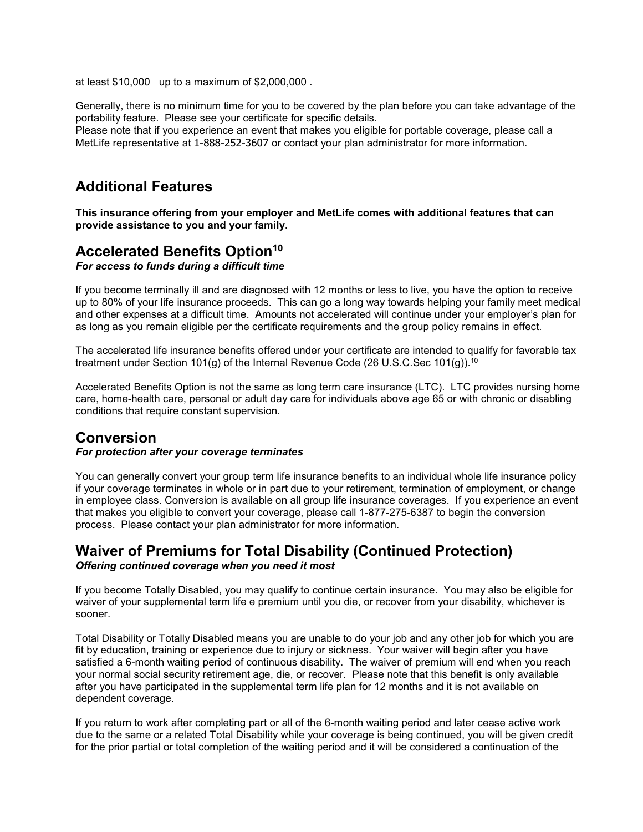at least \$10,000 up to a maximum of \$2,000,000 .

Generally, there is no minimum time for you to be covered by the plan before you can take advantage of the portability feature. Please see your certificate for specific details. Please note that if you experience an event that makes you eligible for portable coverage, please call a MetLife representative at 1-888-252-3607 or contact your plan administrator for more information.

## **Additional Features**

**This insurance offering from your employer and MetLife comes with additional features that can provide assistance to you and your family.**

### **Accelerated Benefits Option<sup>10</sup>**

*For access to funds during a difficult time*

If you become terminally ill and are diagnosed with 12 months or less to live, you have the option to receive up to 80% of your life insurance proceeds. This can go a long way towards helping your family meet medical and other expenses at a difficult time. Amounts not accelerated will continue under your employer's plan for as long as you remain eligible per the certificate requirements and the group policy remains in effect.

The accelerated life insurance benefits offered under your certificate are intended to qualify for favorable tax treatment under Section 101(g) of the Internal Revenue Code (26 U.S.C.Sec 101(g)).10

Accelerated Benefits Option is not the same as long term care insurance (LTC). LTC provides nursing home care, home-health care, personal or adult day care for individuals above age 65 or with chronic or disabling conditions that require constant supervision.

### **Conversion**

#### *For protection after your coverage terminates*

You can generally convert your group term life insurance benefits to an individual whole life insurance policy if your coverage terminates in whole or in part due to your retirement, termination of employment, or change in employee class. Conversion is available on all group life insurance coverages. If you experience an event that makes you eligible to convert your coverage, please call 1-877-275-6387 to begin the conversion process. Please contact your plan administrator for more information.

### **Waiver of Premiums for Total Disability (Continued Protection)** *Offering continued coverage when you need it most*

If you become Totally Disabled, you may qualify to continue certain insurance. You may also be eligible for waiver of your supplemental term life e premium until you die, or recover from your disability, whichever is sooner.

Total Disability or Totally Disabled means you are unable to do your job and any other job for which you are fit by education, training or experience due to injury or sickness. Your waiver will begin after you have satisfied a 6-month waiting period of continuous disability. The waiver of premium will end when you reach your normal social security retirement age, die, or recover. Please note that this benefit is only available after you have participated in the supplemental term life plan for 12 months and it is not available on dependent coverage.

If you return to work after completing part or all of the 6-month waiting period and later cease active work due to the same or a related Total Disability while your coverage is being continued, you will be given credit for the prior partial or total completion of the waiting period and it will be considered a continuation of the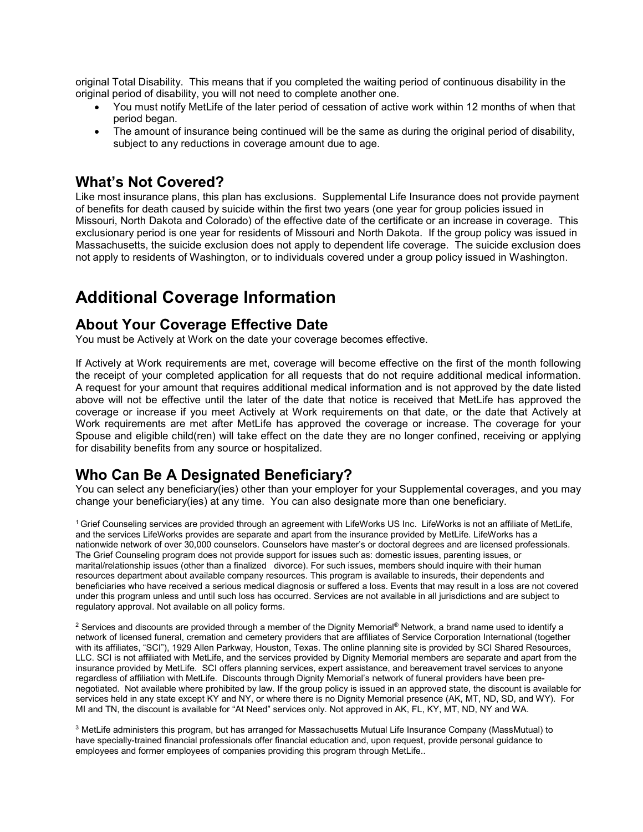original Total Disability. This means that if you completed the waiting period of continuous disability in the original period of disability, you will not need to complete another one.

- You must notify MetLife of the later period of cessation of active work within 12 months of when that period began.
- The amount of insurance being continued will be the same as during the original period of disability, subject to any reductions in coverage amount due to age.

### **What's Not Covered?**

Like most insurance plans, this plan has exclusions. Supplemental Life Insurance does not provide payment of benefits for death caused by suicide within the first two years (one year for group policies issued in Missouri, North Dakota and Colorado) of the effective date of the certificate or an increase in coverage. This exclusionary period is one year for residents of Missouri and North Dakota. If the group policy was issued in Massachusetts, the suicide exclusion does not apply to dependent life coverage. The suicide exclusion does not apply to residents of Washington, or to individuals covered under a group policy issued in Washington.

# **Additional Coverage Information**

### **About Your Coverage Effective Date**

You must be Actively at Work on the date your coverage becomes effective.

If Actively at Work requirements are met, coverage will become effective on the first of the month following the receipt of your completed application for all requests that do not require additional medical information. A request for your amount that requires additional medical information and is not approved by the date listed above will not be effective until the later of the date that notice is received that MetLife has approved the coverage or increase if you meet Actively at Work requirements on that date, or the date that Actively at Work requirements are met after MetLife has approved the coverage or increase. The coverage for your Spouse and eligible child(ren) will take effect on the date they are no longer confined, receiving or applying for disability benefits from any source or hospitalized.

## **Who Can Be A Designated Beneficiary?**

You can select any beneficiary(ies) other than your employer for your Supplemental coverages, and you may change your beneficiary(ies) at any time. You can also designate more than one beneficiary.

1 Grief Counseling services are provided through an agreement with LifeWorks US Inc. LifeWorks is not an affiliate of MetLife, and the services LifeWorks provides are separate and apart from the insurance provided by MetLife. LifeWorks has a nationwide network of over 30,000 counselors. Counselors have master's or doctoral degrees and are licensed professionals. The Grief Counseling program does not provide support for issues such as: domestic issues, parenting issues, or marital/relationship issues (other than a finalized divorce). For such issues, members should inquire with their human resources department about available company resources. This program is available to insureds, their dependents and beneficiaries who have received a serious medical diagnosis or suffered a loss. Events that may result in a loss are not covered under this program unless and until such loss has occurred. Services are not available in all jurisdictions and are subject to regulatory approval. Not available on all policy forms.

<sup>2</sup> Services and discounts are provided through a member of the Dignity Memorial® Network, a brand name used to identify a network of licensed funeral, cremation and cemetery providers that are affiliates of Service Corporation International (together with its affiliates, "SCI"), 1929 Allen Parkway, Houston, Texas. The online planning site is provided by SCI Shared Resources, LLC. SCI is not affiliated with MetLife, and the services provided by Dignity Memorial members are separate and apart from the insurance provided by MetLife. SCI offers planning services, expert assistance, and bereavement travel services to anyone regardless of affiliation with MetLife. Discounts through Dignity Memorial's network of funeral providers have been prenegotiated. Not available where prohibited by law. If the group policy is issued in an approved state, the discount is available for services held in any state except KY and NY, or where there is no Dignity Memorial presence (AK, MT, ND, SD, and WY). For MI and TN, the discount is available for "At Need" services only. Not approved in AK, FL, KY, MT, ND, NY and WA.

<sup>3</sup> MetLife administers this program, but has arranged for Massachusetts Mutual Life Insurance Company (MassMutual) to have specially-trained financial professionals offer financial education and, upon request, provide personal guidance to employees and former employees of companies providing this program through MetLife..